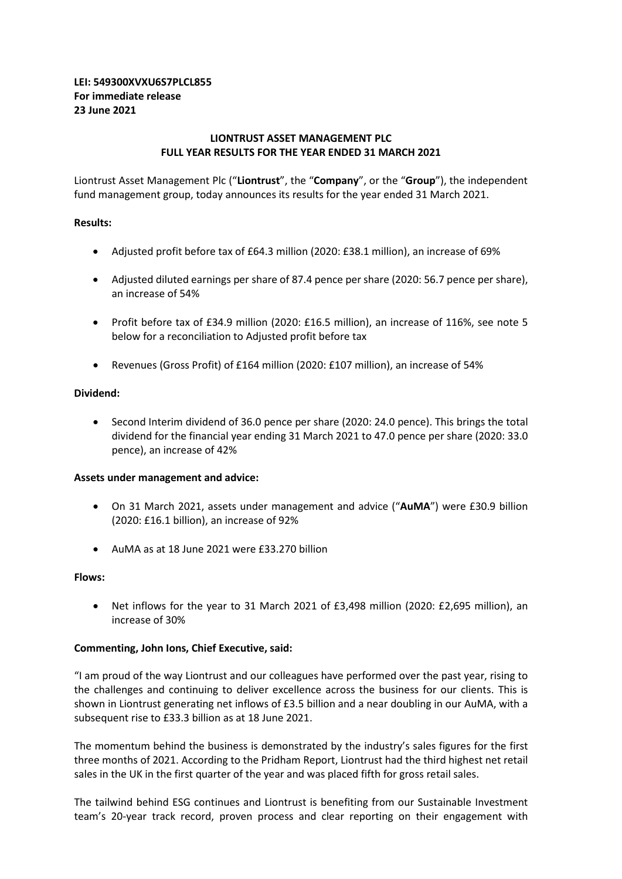# **LEI: 549300XVXU6S7PLCL855 For immediate release 23 June 2021**

## **LIONTRUST ASSET MANAGEMENT PLC FULL YEAR RESULTS FOR THE YEAR ENDED 31 MARCH 2021**

Liontrust Asset Management Plc ("**Liontrust**", the "**Company**", or the "**Group**"), the independent fund management group, today announces its results for the year ended 31 March 2021.

## **Results:**

- Adjusted profit before tax of £64.3 million (2020: £38.1 million), an increase of 69%
- Adjusted diluted earnings per share of 87.4 pence per share (2020: 56.7 pence per share), an increase of 54%
- Profit before tax of £34.9 million (2020: £16.5 million), an increase of 116%, see note 5 below for a reconciliation to Adjusted profit before tax
- Revenues (Gross Profit) of £164 million (2020: £107 million), an increase of 54%

## **Dividend:**

• Second Interim dividend of 36.0 pence per share (2020: 24.0 pence). This brings the total dividend for the financial year ending 31 March 2021 to 47.0 pence per share (2020: 33.0 pence), an increase of 42%

#### **Assets under management and advice:**

- On 31 March 2021, assets under management and advice ("**AuMA**") were £30.9 billion (2020: £16.1 billion), an increase of 92%
- AuMA as at 18 June 2021 were £33.270 billion

#### **Flows:**

• Net inflows for the year to 31 March 2021 of £3,498 million (2020: £2,695 million), an increase of 30%

## **Commenting, John Ions, Chief Executive, said:**

"I am proud of the way Liontrust and our colleagues have performed over the past year, rising to the challenges and continuing to deliver excellence across the business for our clients. This is shown in Liontrust generating net inflows of £3.5 billion and a near doubling in our AuMA, with a subsequent rise to £33.3 billion as at 18 June 2021.

The momentum behind the business is demonstrated by the industry's sales figures for the first three months of 2021. According to the Pridham Report, Liontrust had the third highest net retail sales in the UK in the first quarter of the year and was placed fifth for gross retail sales.

The tailwind behind ESG continues and Liontrust is benefiting from our Sustainable Investment team's 20-year track record, proven process and clear reporting on their engagement with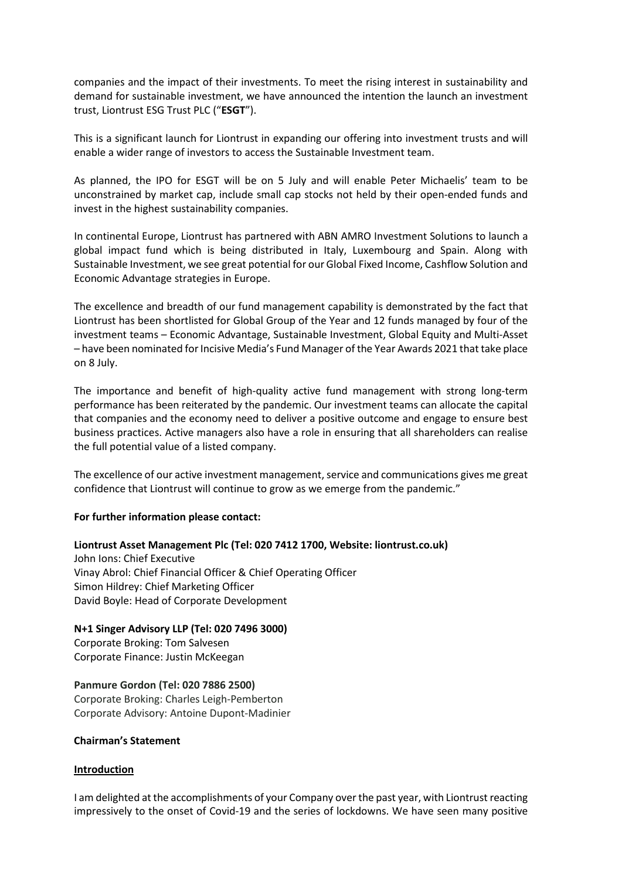companies and the impact of their investments. To meet the rising interest in sustainability and demand for sustainable investment, we have announced the intention the launch an investment trust, Liontrust ESG Trust PLC ("**ESGT**").

This is a significant launch for Liontrust in expanding our offering into investment trusts and will enable a wider range of investors to access the Sustainable Investment team.

As planned, the IPO for ESGT will be on 5 July and will enable Peter Michaelis' team to be unconstrained by market cap, include small cap stocks not held by their open-ended funds and invest in the highest sustainability companies.

In continental Europe, Liontrust has partnered with ABN AMRO Investment Solutions to launch a global impact fund which is being distributed in Italy, Luxembourg and Spain. Along with Sustainable Investment, we see great potential for our Global Fixed Income, Cashflow Solution and Economic Advantage strategies in Europe.

The excellence and breadth of our fund management capability is demonstrated by the fact that Liontrust has been shortlisted for Global Group of the Year and 12 funds managed by four of the investment teams – Economic Advantage, Sustainable Investment, Global Equity and Multi-Asset – have been nominated for Incisive Media's Fund Manager of the Year Awards 2021 that take place on 8 July.

The importance and benefit of high-quality active fund management with strong long-term performance has been reiterated by the pandemic. Our investment teams can allocate the capital that companies and the economy need to deliver a positive outcome and engage to ensure best business practices. Active managers also have a role in ensuring that all shareholders can realise the full potential value of a listed company.

The excellence of our active investment management, service and communications gives me great confidence that Liontrust will continue to grow as we emerge from the pandemic."

#### **For further information please contact:**

#### **Liontrust Asset Management Plc (Tel: 020 7412 1700, Website: liontrust.co.uk)**

John Ions: Chief Executive Vinay Abrol: Chief Financial Officer & Chief Operating Officer Simon Hildrey: Chief Marketing Officer David Boyle: Head of Corporate Development

#### **N+1 Singer Advisory LLP (Tel: 020 7496 3000)**

Corporate Broking: Tom Salvesen Corporate Finance: Justin McKeegan

#### **Panmure Gordon (Tel: 020 7886 2500)**

Corporate Broking: Charles Leigh-Pemberton Corporate Advisory: Antoine Dupont-Madinier

#### **Chairman's Statement**

#### **Introduction**

I am delighted at the accomplishments of your Company over the past year, with Liontrust reacting impressively to the onset of Covid-19 and the series of lockdowns. We have seen many positive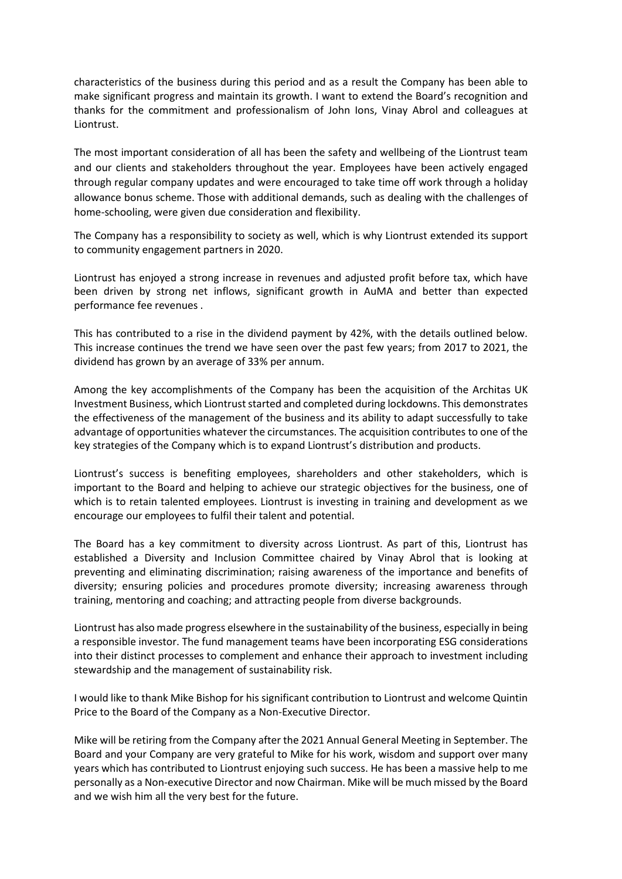characteristics of the business during this period and as a result the Company has been able to make significant progress and maintain its growth. I want to extend the Board's recognition and thanks for the commitment and professionalism of John Ions, Vinay Abrol and colleagues at Liontrust.

The most important consideration of all has been the safety and wellbeing of the Liontrust team and our clients and stakeholders throughout the year. Employees have been actively engaged through regular company updates and were encouraged to take time off work through a holiday allowance bonus scheme. Those with additional demands, such as dealing with the challenges of home-schooling, were given due consideration and flexibility.

The Company has a responsibility to society as well, which is why Liontrust extended its support to community engagement partners in 2020.

Liontrust has enjoyed a strong increase in revenues and adjusted profit before tax, which have been driven by strong net inflows, significant growth in AuMA and better than expected performance fee revenues .

This has contributed to a rise in the dividend payment by 42%, with the details outlined below. This increase continues the trend we have seen over the past few years; from 2017 to 2021, the dividend has grown by an average of 33% per annum.

Among the key accomplishments of the Company has been the acquisition of the Architas UK Investment Business, which Liontrust started and completed during lockdowns. This demonstrates the effectiveness of the management of the business and its ability to adapt successfully to take advantage of opportunities whatever the circumstances. The acquisition contributes to one of the key strategies of the Company which is to expand Liontrust's distribution and products.

Liontrust's success is benefiting employees, shareholders and other stakeholders, which is important to the Board and helping to achieve our strategic objectives for the business, one of which is to retain talented employees. Liontrust is investing in training and development as we encourage our employees to fulfil their talent and potential.

The Board has a key commitment to diversity across Liontrust. As part of this, Liontrust has established a Diversity and Inclusion Committee chaired by Vinay Abrol that is looking at preventing and eliminating discrimination; raising awareness of the importance and benefits of diversity; ensuring policies and procedures promote diversity; increasing awareness through training, mentoring and coaching; and attracting people from diverse backgrounds.

Liontrust has also made progress elsewhere in the sustainability of the business, especially in being a responsible investor. The fund management teams have been incorporating ESG considerations into their distinct processes to complement and enhance their approach to investment including stewardship and the management of sustainability risk.

I would like to thank Mike Bishop for his significant contribution to Liontrust and welcome Quintin Price to the Board of the Company as a Non-Executive Director.

Mike will be retiring from the Company after the 2021 Annual General Meeting in September. The Board and your Company are very grateful to Mike for his work, wisdom and support over many years which has contributed to Liontrust enjoying such success. He has been a massive help to me personally as a Non-executive Director and now Chairman. Mike will be much missed by the Board and we wish him all the very best for the future.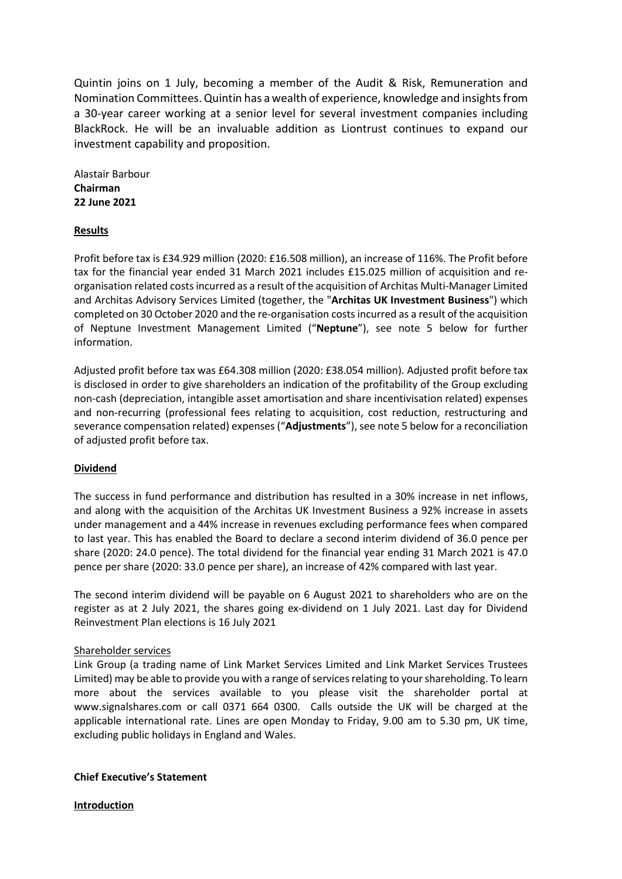Quintin joins on 1 July, becoming a member of the Audit & Risk, Remuneration and Nomination Committees. Quintin has a wealth of experience, knowledge and insights from a 30-year career working at a senior level for several investment companies including BlackRock. He will be an invaluable addition as Liontrust continues to expand our investment capability and proposition.

Alastair Barbour **Chairman 22 June 2021**

## **Results**

Profit before tax is £34.929 million (2020: £16.508 million), an increase of 116%. The Profit before tax for the financial year ended 31 March 2021 includes £15.025 million of acquisition and reorganisation related costs incurred as a result of the acquisition of Architas Multi-Manager Limited and Architas Advisory Services Limited (together, the "**Architas UK Investment Business**") which completed on 30 October 2020 and the re-organisation costs incurred as a result of the acquisition of Neptune Investment Management Limited ("**Neptune**"), see note 5 below for further information.

Adjusted profit before tax was £64.308 million (2020: £38.054 million). Adjusted profit before tax is disclosed in order to give shareholders an indication of the profitability of the Group excluding non-cash (depreciation, intangible asset amortisation and share incentivisation related) expenses and non-recurring (professional fees relating to acquisition, cost reduction, restructuring and severance compensation related) expenses ("**Adjustments**"), see note 5 below for a reconciliation of adjusted profit before tax.

## **Dividend**

The success in fund performance and distribution has resulted in a 30% increase in net inflows, and along with the acquisition of the Architas UK Investment Business a 92% increase in assets under management and a 44% increase in revenues excluding performance fees when compared to last year. This has enabled the Board to declare a second interim dividend of 36.0 pence per share (2020: 24.0 pence). The total dividend for the financial year ending 31 March 2021 is 47.0 pence per share (2020: 33.0 pence per share), an increase of 42% compared with last year.

The second interim dividend will be payable on 6 August 2021 to shareholders who are on the register as at 2 July 2021, the shares going ex-dividend on 1 July 2021. Last day for Dividend Reinvestment Plan elections is 16 July 2021

#### Shareholder services

Link Group (a trading name of Link Market Services Limited and Link Market Services Trustees Limited) may be able to provide you with a range of services relating to your shareholding. To learn more about the services available to you please visit the shareholder portal at www.signalshares.com or call 0371 664 0300. Calls outside the UK will be charged at the applicable international rate. Lines are open Monday to Friday, 9.00 am to 5.30 pm, UK time, excluding public holidays in England and Wales.

## **Chief Executive's Statement**

**Introduction**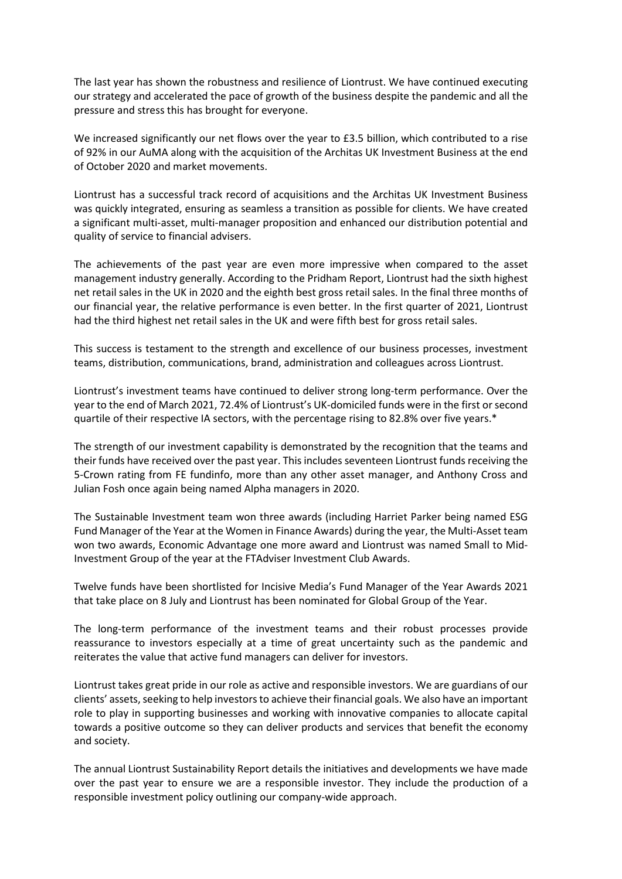The last year has shown the robustness and resilience of Liontrust. We have continued executing our strategy and accelerated the pace of growth of the business despite the pandemic and all the pressure and stress this has brought for everyone.

We increased significantly our net flows over the year to £3.5 billion, which contributed to a rise of 92% in our AuMA along with the acquisition of the Architas UK Investment Business at the end of October 2020 and market movements.

Liontrust has a successful track record of acquisitions and the Architas UK Investment Business was quickly integrated, ensuring as seamless a transition as possible for clients. We have created a significant multi-asset, multi-manager proposition and enhanced our distribution potential and quality of service to financial advisers.

The achievements of the past year are even more impressive when compared to the asset management industry generally. According to the Pridham Report, Liontrust had the sixth highest net retail sales in the UK in 2020 and the eighth best gross retail sales. In the final three months of our financial year, the relative performance is even better. In the first quarter of 2021, Liontrust had the third highest net retail sales in the UK and were fifth best for gross retail sales.

This success is testament to the strength and excellence of our business processes, investment teams, distribution, communications, brand, administration and colleagues across Liontrust.

Liontrust's investment teams have continued to deliver strong long-term performance. Over the year to the end of March 2021, 72.4% of Liontrust's UK-domiciled funds were in the first or second quartile of their respective IA sectors, with the percentage rising to 82.8% over five years.\*

The strength of our investment capability is demonstrated by the recognition that the teams and their funds have received over the past year. This includes seventeen Liontrust funds receiving the 5-Crown rating from FE fundinfo, more than any other asset manager, and Anthony Cross and Julian Fosh once again being named Alpha managers in 2020.

The Sustainable Investment team won three awards (including Harriet Parker being named ESG Fund Manager of the Year at the Women in Finance Awards) during the year, the Multi-Asset team won two awards, Economic Advantage one more award and Liontrust was named Small to Mid-Investment Group of the year at the FTAdviser Investment Club Awards.

Twelve funds have been shortlisted for Incisive Media's Fund Manager of the Year Awards 2021 that take place on 8 July and Liontrust has been nominated for Global Group of the Year.

The long-term performance of the investment teams and their robust processes provide reassurance to investors especially at a time of great uncertainty such as the pandemic and reiterates the value that active fund managers can deliver for investors.

Liontrust takes great pride in our role as active and responsible investors. We are guardians of our clients' assets, seeking to help investors to achieve their financial goals. We also have an important role to play in supporting businesses and working with innovative companies to allocate capital towards a positive outcome so they can deliver products and services that benefit the economy and society.

The annual Liontrust Sustainability Report details the initiatives and developments we have made over the past year to ensure we are a responsible investor. They include the production of a responsible investment policy outlining our company-wide approach.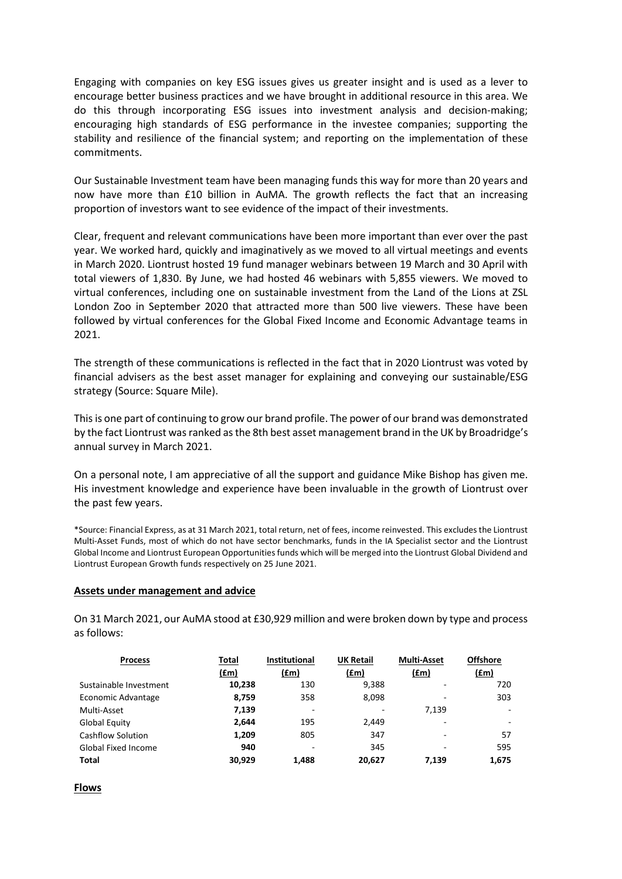Engaging with companies on key ESG issues gives us greater insight and is used as a lever to encourage better business practices and we have brought in additional resource in this area. We do this through incorporating ESG issues into investment analysis and decision-making; encouraging high standards of ESG performance in the investee companies; supporting the stability and resilience of the financial system; and reporting on the implementation of these commitments.

Our Sustainable Investment team have been managing funds this way for more than 20 years and now have more than £10 billion in AuMA. The growth reflects the fact that an increasing proportion of investors want to see evidence of the impact of their investments.

Clear, frequent and relevant communications have been more important than ever over the past year. We worked hard, quickly and imaginatively as we moved to all virtual meetings and events in March 2020. Liontrust hosted 19 fund manager webinars between 19 March and 30 April with total viewers of 1,830. By June, we had hosted 46 webinars with 5,855 viewers. We moved to virtual conferences, including one on sustainable investment from the Land of the Lions at ZSL London Zoo in September 2020 that attracted more than 500 live viewers. These have been followed by virtual conferences for the Global Fixed Income and Economic Advantage teams in 2021.

The strength of these communications is reflected in the fact that in 2020 Liontrust was voted by financial advisers as the best asset manager for explaining and conveying our sustainable/ESG strategy (Source: Square Mile).

This is one part of continuing to grow our brand profile. The power of our brand was demonstrated by the fact Liontrust was ranked as the 8th best asset management brand in the UK by Broadridge's annual survey in March 2021.

On a personal note, I am appreciative of all the support and guidance Mike Bishop has given me. His investment knowledge and experience have been invaluable in the growth of Liontrust over the past few years.

\*Source: Financial Express, as at 31 March 2021, total return, net of fees, income reinvested. This excludes the Liontrust Multi-Asset Funds, most of which do not have sector benchmarks, funds in the IA Specialist sector and the Liontrust Global Income and Liontrust European Opportunities funds which will be merged into the Liontrust Global Dividend and Liontrust European Growth funds respectively on 25 June 2021.

#### **Assets under management and advice**

On 31 March 2021, our AuMA stood at £30,929 million and were broken down by type and process as follows:

| <b>Process</b>           | Total  | <b>UK Retail</b><br><b>Institutional</b> |        | <b>Multi-Asset</b>       | <b>Offshore</b> |
|--------------------------|--------|------------------------------------------|--------|--------------------------|-----------------|
|                          | (fm)   | (fm)                                     | (fm)   | (fm)                     | (fm)            |
| Sustainable Investment   | 10,238 | 130                                      | 9,388  |                          | 720             |
| Economic Advantage       | 8,759  | 358                                      | 8,098  |                          | 303             |
| Multi-Asset              | 7,139  | ۰                                        |        | 7,139                    |                 |
| <b>Global Equity</b>     | 2.644  | 195                                      | 2.449  | $\overline{\phantom{0}}$ |                 |
| <b>Cashflow Solution</b> | 1,209  | 805                                      | 347    | $\overline{\phantom{0}}$ | 57              |
| Global Fixed Income      | 940    | ۰                                        | 345    | $\overline{\phantom{0}}$ | 595             |
| <b>Total</b>             | 30,929 | 1.488                                    | 20,627 | 7.139                    | 1,675           |

#### **Flows**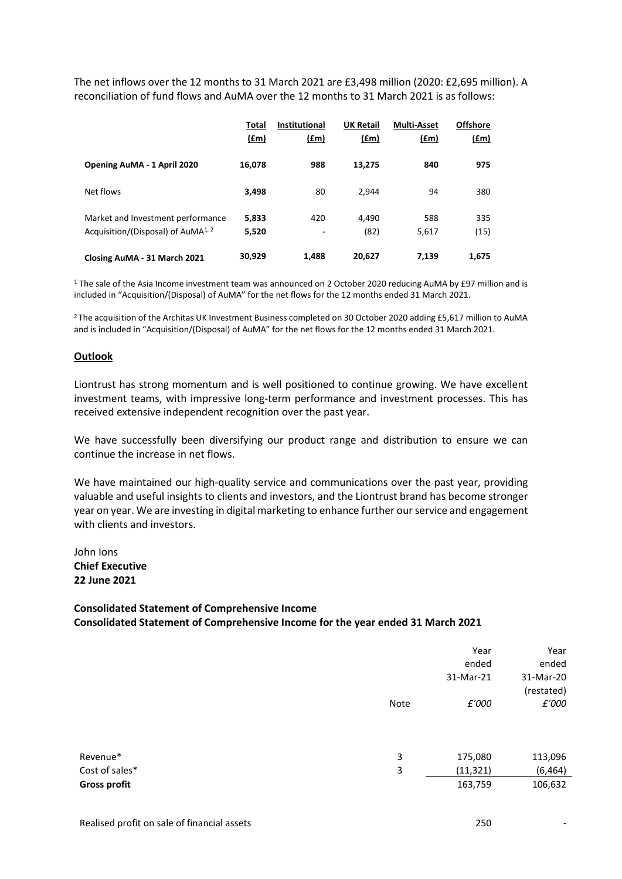The net inflows over the 12 months to 31 March 2021 are £3,498 million (2020: £2,695 million). A reconciliation of fund flows and AuMA over the 12 months to 31 March 2021 is as follows:

|                                                                                     | Total<br><u>(£m)</u> | <b>Institutional</b><br>(f.m)   | <b>UK Retail</b><br>(f.m) | <b>Multi-Asset</b><br>$(\text{fm})$ | <b>Offshore</b><br><u>(£m)</u> |
|-------------------------------------------------------------------------------------|----------------------|---------------------------------|---------------------------|-------------------------------------|--------------------------------|
| Opening AuMA - 1 April 2020                                                         | 16,078               | 988                             | 13.275                    | 840                                 | 975                            |
| Net flows                                                                           | 3.498                | 80                              | 2.944                     | 94                                  | 380                            |
| Market and Investment performance<br>Acquisition/(Disposal) of AuMA <sup>1, 2</sup> | 5,833<br>5,520       | 420<br>$\overline{\phantom{a}}$ | 4,490<br>(82)             | 588<br>5,617                        | 335<br>(15)                    |
| Closing AuMA - 31 March 2021                                                        | 30,929               | 1.488                           | 20.627                    | 7.139                               | 1.675                          |

<sup>1</sup> The sale of the Asia Income investment team was announced on 2 October 2020 reducing AuMA by £97 million and is included in "Acquisition/(Disposal) of AuMA" for the net flows for the 12 months ended 31 March 2021.

<sup>2</sup> The acquisition of the Architas UK Investment Business completed on 30 October 2020 adding £5,617 million to AuMA and is included in "Acquisition/(Disposal) of AuMA" for the net flows for the 12 months ended 31 March 2021.

## **Outlook**

Liontrust has strong momentum and is well positioned to continue growing. We have excellent investment teams, with impressive long-term performance and investment processes. This has received extensive independent recognition over the past year.

We have successfully been diversifying our product range and distribution to ensure we can continue the increase in net flows.

We have maintained our high-quality service and communications over the past year, providing valuable and useful insights to clients and investors, and the Liontrust brand has become stronger year on year. We are investing in digital marketing to enhance further our service and engagement with clients and investors.

John Ions **Chief Executive 22 June 2021**

## **Consolidated Statement of Comprehensive Income Consolidated Statement of Comprehensive Income for the year ended 31 March 2021**

|                     |      | Year      | Year       |
|---------------------|------|-----------|------------|
|                     |      | ended     | ended      |
|                     |      | 31-Mar-21 | 31-Mar-20  |
|                     |      |           | (restated) |
|                     | Note | £'000     | £'000      |
|                     |      |           |            |
|                     |      |           |            |
|                     |      |           |            |
| Revenue*            | 3    | 175,080   | 113,096    |
| Cost of sales*      | 3    | (11, 321) | (6, 464)   |
| <b>Gross profit</b> |      | 163,759   | 106,632    |
|                     |      |           |            |

-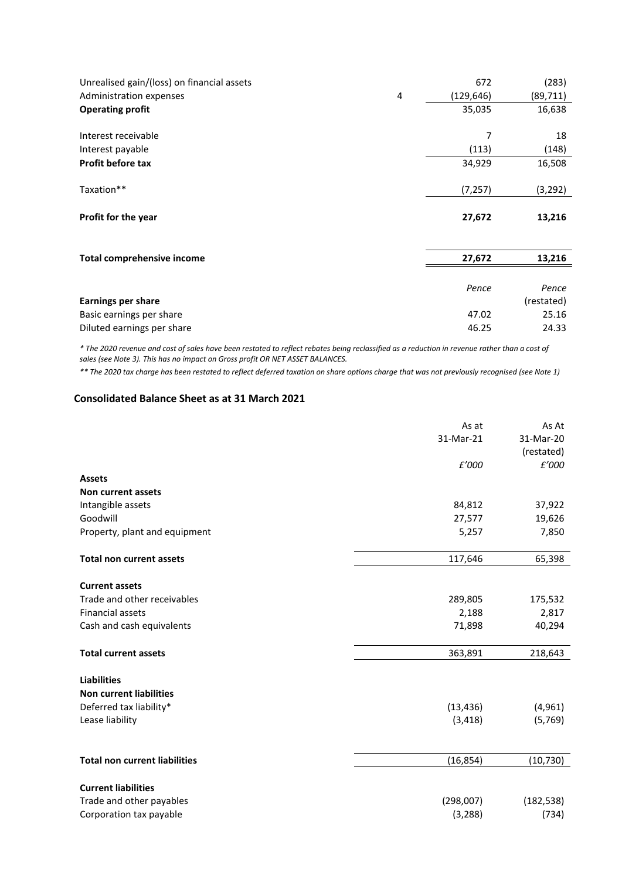| Unrealised gain/(loss) on financial assets |   | 672       | (283)      |
|--------------------------------------------|---|-----------|------------|
| Administration expenses                    | 4 | (129,646) | (89, 711)  |
| <b>Operating profit</b>                    |   | 35,035    | 16,638     |
| Interest receivable                        |   | 7         | 18         |
|                                            |   |           |            |
| Interest payable                           |   | (113)     | (148)      |
| Profit before tax                          |   | 34,929    | 16,508     |
| Taxation**                                 |   | (7, 257)  | (3, 292)   |
| Profit for the year                        |   | 27,672    | 13,216     |
|                                            |   |           |            |
| <b>Total comprehensive income</b>          |   | 27,672    | 13,216     |
|                                            |   |           |            |
|                                            |   | Pence     | Pence      |
| <b>Earnings per share</b>                  |   |           | (restated) |
| Basic earnings per share                   |   | 47.02     | 25.16      |
| Diluted earnings per share                 |   | 46.25     | 24.33      |

*\* The 2020 revenue and cost of sales have been restated to reflect rebates being reclassified as a reduction in revenue rather than a cost of sales (see Note 3). This has no impact on Gross profit OR NET ASSET BALANCES.*

*\*\* The 2020 tax charge has been restated to reflect deferred taxation on share options charge that was not previously recognised (see Note 1)*

## **Consolidated Balance Sheet as at 31 March 2021**

|                                      | As at     | As At      |
|--------------------------------------|-----------|------------|
|                                      | 31-Mar-21 | 31-Mar-20  |
|                                      |           | (restated) |
|                                      | £'000     | £'000      |
| <b>Assets</b>                        |           |            |
| <b>Non current assets</b>            |           |            |
| Intangible assets                    | 84,812    | 37,922     |
| Goodwill                             | 27,577    | 19,626     |
| Property, plant and equipment        | 5,257     | 7,850      |
| <b>Total non current assets</b>      | 117,646   | 65,398     |
| <b>Current assets</b>                |           |            |
| Trade and other receivables          | 289,805   | 175,532    |
| <b>Financial assets</b>              | 2,188     | 2,817      |
| Cash and cash equivalents            | 71,898    | 40,294     |
| <b>Total current assets</b>          | 363,891   | 218,643    |
| <b>Liabilities</b>                   |           |            |
| <b>Non current liabilities</b>       |           |            |
| Deferred tax liability*              | (13, 436) | (4,961)    |
| Lease liability                      | (3, 418)  | (5,769)    |
|                                      |           |            |
| <b>Total non current liabilities</b> | (16, 854) | (10, 730)  |
| <b>Current liabilities</b>           |           |            |
| Trade and other payables             | (298,007) | (182, 538) |
| Corporation tax payable              | (3, 288)  | (734)      |
|                                      |           |            |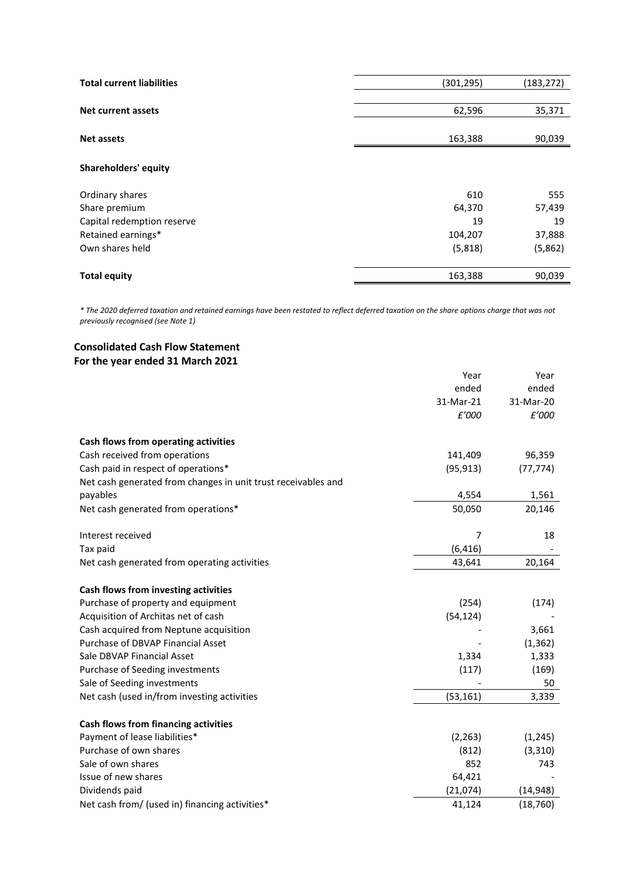| <b>Total current liabilities</b> | (301, 295) | (183, 272) |
|----------------------------------|------------|------------|
|                                  |            |            |
| <b>Net current assets</b>        | 62,596     | 35,371     |
|                                  |            |            |
| <b>Net assets</b>                | 163,388    | 90,039     |
|                                  |            |            |
| <b>Shareholders' equity</b>      |            |            |
| Ordinary shares                  | 610        | 555        |
| Share premium                    | 64,370     | 57,439     |
| Capital redemption reserve       | 19         | 19         |
| Retained earnings*               | 104,207    | 37,888     |
| Own shares held                  | (5,818)    | (5,862)    |
|                                  |            |            |
| <b>Total equity</b>              | 163,388    | 90,039     |

*\* The 2020 deferred taxation and retained earnings have been restated to reflect deferred taxation on the share options charge that was not previously recognised (see Note 1)*

# **Consolidated Cash Flow Statement For the year ended 31 March 2021**

|                                                               | Year      | Year      |
|---------------------------------------------------------------|-----------|-----------|
|                                                               | ended     | ended     |
|                                                               | 31-Mar-21 | 31-Mar-20 |
|                                                               | £'000     | £'000     |
| Cash flows from operating activities                          |           |           |
| Cash received from operations                                 | 141,409   | 96,359    |
| Cash paid in respect of operations*                           | (95, 913) | (77, 774) |
| Net cash generated from changes in unit trust receivables and |           |           |
| payables                                                      | 4,554     | 1,561     |
| Net cash generated from operations*                           | 50,050    | 20,146    |
| Interest received                                             | 7         | 18        |
| Tax paid                                                      | (6, 416)  |           |
| Net cash generated from operating activities                  | 43,641    | 20,164    |
| Cash flows from investing activities                          |           |           |
| Purchase of property and equipment                            | (254)     | (174)     |
| Acquisition of Architas net of cash                           | (54, 124) |           |
| Cash acquired from Neptune acquisition                        |           | 3,661     |
| Purchase of DBVAP Financial Asset                             |           | (1, 362)  |
| Sale DBVAP Financial Asset                                    | 1,334     | 1,333     |
| Purchase of Seeding investments                               | (117)     | (169)     |
| Sale of Seeding investments                                   |           | 50        |
| Net cash (used in/from investing activities                   | (53, 161) | 3,339     |
| Cash flows from financing activities                          |           |           |
| Payment of lease liabilities*                                 | (2, 263)  | (1, 245)  |
| Purchase of own shares                                        | (812)     | (3, 310)  |
| Sale of own shares                                            | 852       | 743       |
| Issue of new shares                                           | 64,421    |           |
| Dividends paid                                                | (21,074)  | (14, 948) |
| Net cash from/ (used in) financing activities*                | 41,124    | (18, 760) |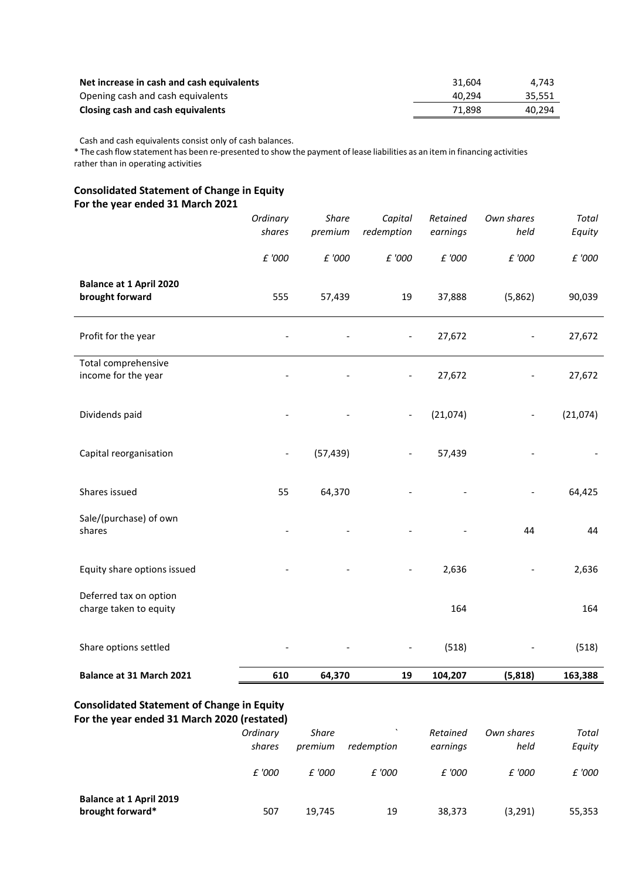| Net increase in cash and cash equivalents | 31.604 | 4.743  |
|-------------------------------------------|--------|--------|
| Opening cash and cash equivalents         | 40.294 | 35.551 |
| Closing cash and cash equivalents         | 71.898 | 40.294 |

Cash and cash equivalents consist only of cash balances.

\* The cash flow statement has been re-presented to show the payment of lease liabilities as an item in financing activities rather than in operating activities

# **Consolidated Statement of Change in Equity For the year ended 31 March 2021**

|                                                   | Ordinary<br>shares       | <b>Share</b><br>premium | Capital<br>redemption        | Retained<br>earnings | Own shares<br>held | <b>Total</b><br>Equity |
|---------------------------------------------------|--------------------------|-------------------------|------------------------------|----------------------|--------------------|------------------------|
|                                                   | $\pounds$ '000           | £ '000                  | £ '000                       | $\pounds$ '000       | $\pounds$ '000     | £ '000                 |
| <b>Balance at 1 April 2020</b><br>brought forward | 555                      | 57,439                  | 19                           | 37,888               | (5,862)            | 90,039                 |
| Profit for the year                               |                          |                         |                              | 27,672               |                    | 27,672                 |
| Total comprehensive<br>income for the year        |                          |                         | $\qquad \qquad \blacksquare$ | 27,672               |                    | 27,672                 |
| Dividends paid                                    |                          |                         | $\qquad \qquad \blacksquare$ | (21,074)             |                    | (21,074)               |
| Capital reorganisation                            | $\overline{\phantom{a}}$ | (57, 439)               | $\overline{\phantom{0}}$     | 57,439               |                    |                        |
| Shares issued                                     | 55                       | 64,370                  |                              |                      |                    | 64,425                 |
| Sale/(purchase) of own<br>shares                  |                          |                         |                              |                      | 44                 | 44                     |
| Equity share options issued                       |                          |                         | $\qquad \qquad \blacksquare$ | 2,636                |                    | 2,636                  |
| Deferred tax on option<br>charge taken to equity  |                          |                         |                              | 164                  |                    | 164                    |
| Share options settled                             |                          |                         |                              | (518)                |                    | (518)                  |
| Balance at 31 March 2021                          | 610                      | 64,370                  | 19                           | 104,207              | (5,818)            | 163,388                |

# **Consolidated Statement of Change in Equity For the year ended 31 March 2020 (restated)**

|                                                    | Ordinary<br>shares | Share<br>premium | redemption | Retained<br>earnings | Own shares<br>held | Total<br>Equity |
|----------------------------------------------------|--------------------|------------------|------------|----------------------|--------------------|-----------------|
|                                                    | £ '000             | £ '000           | £ '000     | £ '000               | £ '000             | £ '000          |
| <b>Balance at 1 April 2019</b><br>brought forward* | 507                | 19,745           | 19         | 38,373               | (3,291)            | 55,353          |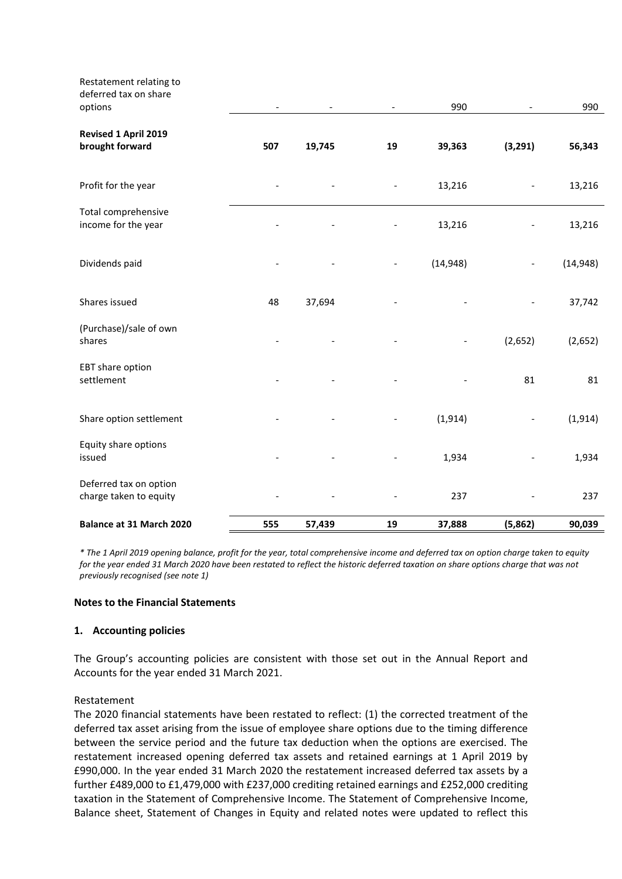| Balance at 31 March 2020                                    | 555 | 57,439 | 19                       | 37,888    | (5,862) | 90,039    |
|-------------------------------------------------------------|-----|--------|--------------------------|-----------|---------|-----------|
| Deferred tax on option<br>charge taken to equity            |     |        |                          | 237       |         | 237       |
| Equity share options<br>issued                              |     |        |                          | 1,934     |         | 1,934     |
| Share option settlement                                     |     |        |                          | (1, 914)  |         | (1, 914)  |
| EBT share option<br>settlement                              |     |        |                          |           | 81      | 81        |
| (Purchase)/sale of own<br>shares                            |     |        |                          |           | (2,652) | (2,652)   |
| Shares issued                                               | 48  | 37,694 |                          |           |         | 37,742    |
| Dividends paid                                              |     |        | $\overline{\phantom{a}}$ | (14, 948) |         | (14, 948) |
| Total comprehensive<br>income for the year                  |     |        |                          | 13,216    |         | 13,216    |
| Profit for the year                                         |     |        |                          | 13,216    |         | 13,216    |
| Revised 1 April 2019<br>brought forward                     | 507 | 19,745 | 19                       | 39,363    | (3,291) | 56,343    |
| Restatement relating to<br>deferred tax on share<br>options |     |        |                          | 990       |         | 990       |

*\* The 1 April 2019 opening balance, profit for the year, total comprehensive income and deferred tax on option charge taken to equity for the year ended 31 March 2020 have been restated to reflect the historic deferred taxation on share options charge that was not previously recognised (see note 1)*

## **Notes to the Financial Statements**

## **1. Accounting policies**

The Group's accounting policies are consistent with those set out in the Annual Report and Accounts for the year ended 31 March 2021.

#### Restatement

The 2020 financial statements have been restated to reflect: (1) the corrected treatment of the deferred tax asset arising from the issue of employee share options due to the timing difference between the service period and the future tax deduction when the options are exercised. The restatement increased opening deferred tax assets and retained earnings at 1 April 2019 by £990,000. In the year ended 31 March 2020 the restatement increased deferred tax assets by a further £489,000 to £1,479,000 with £237,000 crediting retained earnings and £252,000 crediting taxation in the Statement of Comprehensive Income. The Statement of Comprehensive Income, Balance sheet, Statement of Changes in Equity and related notes were updated to reflect this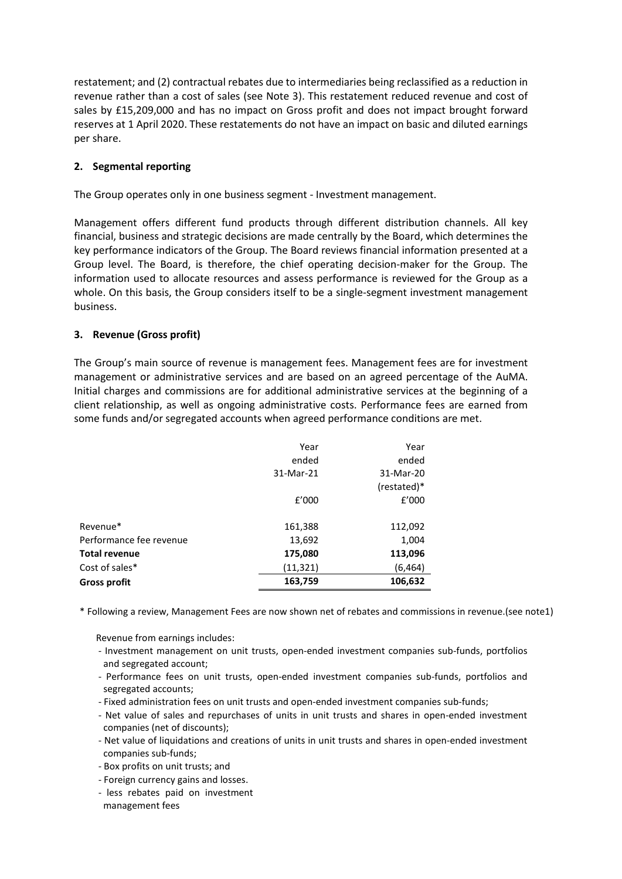restatement; and (2) contractual rebates due to intermediaries being reclassified as a reduction in revenue rather than a cost of sales (see Note 3). This restatement reduced revenue and cost of sales by £15,209,000 and has no impact on Gross profit and does not impact brought forward reserves at 1 April 2020. These restatements do not have an impact on basic and diluted earnings per share.

# **2. Segmental reporting**

The Group operates only in one business segment - Investment management.

Management offers different fund products through different distribution channels. All key financial, business and strategic decisions are made centrally by the Board, which determines the key performance indicators of the Group. The Board reviews financial information presented at a Group level. The Board, is therefore, the chief operating decision-maker for the Group. The information used to allocate resources and assess performance is reviewed for the Group as a whole. On this basis, the Group considers itself to be a single-segment investment management business.

# **3. Revenue (Gross profit)**

The Group's main source of revenue is management fees. Management fees are for investment management or administrative services and are based on an agreed percentage of the AuMA. Initial charges and commissions are for additional administrative services at the beginning of a client relationship, as well as ongoing administrative costs. Performance fees are earned from some funds and/or segregated accounts when agreed performance conditions are met.

| Gross profit            | 163,759       | 106,632       |
|-------------------------|---------------|---------------|
| Cost of sales*          | (11, 321)     | (6,464)       |
| <b>Total revenue</b>    | 175,080       | 113,096       |
| Performance fee revenue | 13,692        | 1,004         |
| Revenue*                | 161,388       | 112,092       |
|                         | f'000         | f'000         |
|                         |               | $(rested)*$   |
|                         | 31-Mar-21     | 31-Mar-20     |
|                         | Year<br>ended | Year<br>ended |
|                         |               |               |

\* Following a review, Management Fees are now shown net of rebates and commissions in revenue.(see note1)

Revenue from earnings includes:

- Investment management on unit trusts, open-ended investment companies sub-funds, portfolios and segregated account;
- Performance fees on unit trusts, open-ended investment companies sub-funds, portfolios and segregated accounts;
- Fixed administration fees on unit trusts and open-ended investment companies sub-funds;
- Net value of sales and repurchases of units in unit trusts and shares in open-ended investment companies (net of discounts);
- Net value of liquidations and creations of units in unit trusts and shares in open-ended investment companies sub-funds;
- Box profits on unit trusts; and
- Foreign currency gains and losses.
- less rebates paid on investment management fees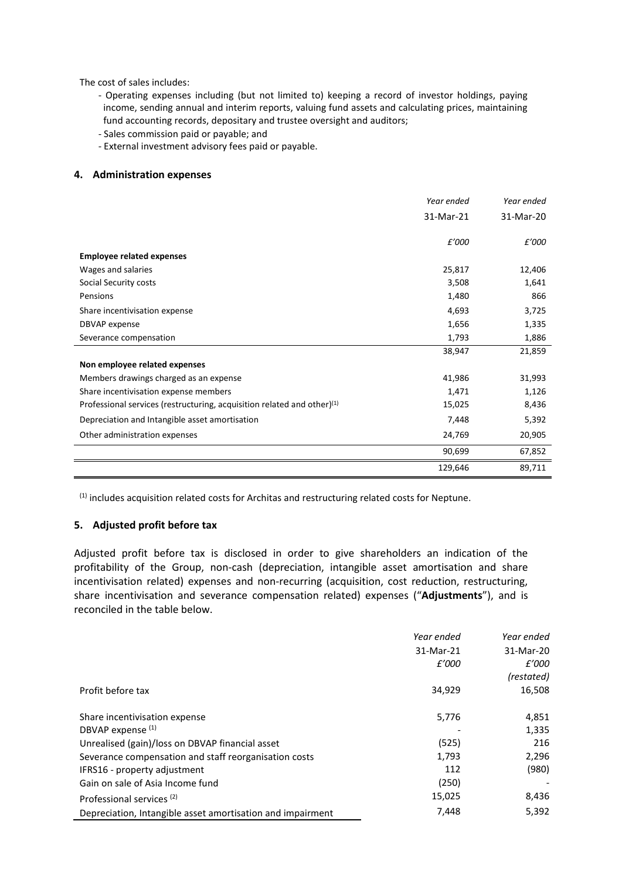The cost of sales includes:

- Operating expenses including (but not limited to) keeping a record of investor holdings, paying income, sending annual and interim reports, valuing fund assets and calculating prices, maintaining fund accounting records, depositary and trustee oversight and auditors;
- Sales commission paid or payable; and
- External investment advisory fees paid or payable.

### **4. Administration expenses**

|                                                                            | Year ended | Year ended |
|----------------------------------------------------------------------------|------------|------------|
|                                                                            | 31-Mar-21  | 31-Mar-20  |
|                                                                            |            |            |
|                                                                            | £'000      | £'000      |
| <b>Employee related expenses</b>                                           |            |            |
| Wages and salaries                                                         | 25,817     | 12,406     |
| Social Security costs                                                      | 3,508      | 1,641      |
| Pensions                                                                   | 1,480      | 866        |
| Share incentivisation expense                                              | 4,693      | 3,725      |
| DBVAP expense                                                              | 1,656      | 1,335      |
| Severance compensation                                                     | 1,793      | 1,886      |
|                                                                            | 38,947     | 21,859     |
| Non employee related expenses                                              |            |            |
| Members drawings charged as an expense                                     | 41,986     | 31,993     |
| Share incentivisation expense members                                      | 1,471      | 1,126      |
| Professional services (restructuring, acquisition related and other) $(1)$ | 15,025     | 8,436      |
| Depreciation and Intangible asset amortisation                             | 7,448      | 5,392      |
| Other administration expenses                                              | 24,769     | 20,905     |
|                                                                            | 90,699     | 67,852     |
|                                                                            | 129,646    | 89,711     |

(1) includes acquisition related costs for Architas and restructuring related costs for Neptune.

## **5. Adjusted profit before tax**

Adjusted profit before tax is disclosed in order to give shareholders an indication of the profitability of the Group, non-cash (depreciation, intangible asset amortisation and share incentivisation related) expenses and non-recurring (acquisition, cost reduction, restructuring, share incentivisation and severance compensation related) expenses ("**Adjustments**"), and is reconciled in the table below.

|                                                            | Year ended | Year ended |
|------------------------------------------------------------|------------|------------|
|                                                            | 31-Mar-21  | 31-Mar-20  |
|                                                            | £'000      | £'000      |
|                                                            |            | (restated) |
| Profit before tax                                          | 34,929     | 16,508     |
| Share incentivisation expense                              | 5,776      | 4,851      |
| DBVAP expense (1)                                          |            | 1,335      |
| Unrealised (gain)/loss on DBVAP financial asset            | (525)      | 216        |
| Severance compensation and staff reorganisation costs      | 1,793      | 2,296      |
| IFRS16 - property adjustment                               | 112        | (980)      |
| Gain on sale of Asia Income fund                           | (250)      |            |
| Professional services <sup>(2)</sup>                       | 15,025     | 8,436      |
| Depreciation, Intangible asset amortisation and impairment | 7,448      | 5,392      |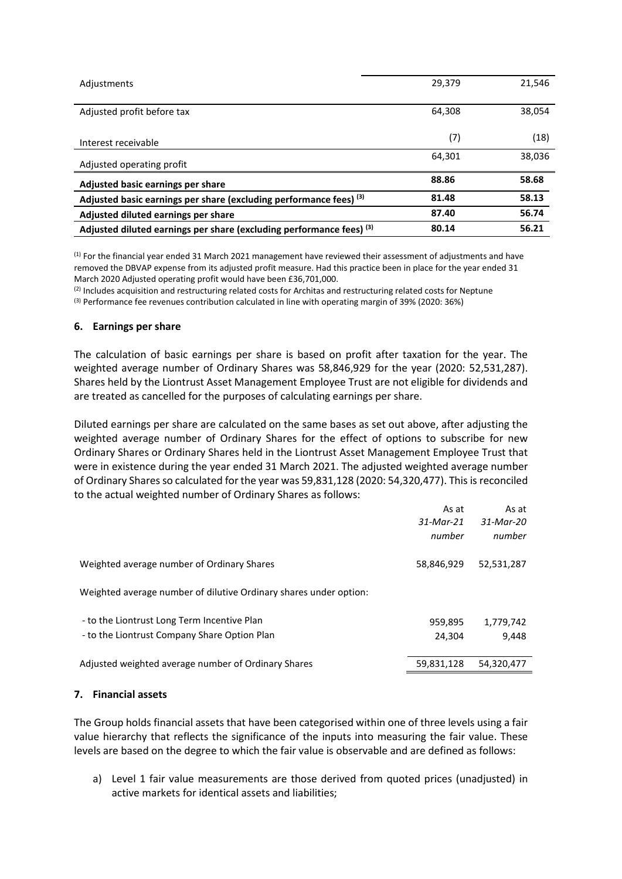| Adjustments                                                          | 29,379 | 21,546 |
|----------------------------------------------------------------------|--------|--------|
| Adjusted profit before tax                                           | 64,308 | 38,054 |
| Interest receivable                                                  | (7)    | (18)   |
| Adjusted operating profit                                            | 64,301 | 38,036 |
| Adjusted basic earnings per share                                    | 88.86  | 58.68  |
| Adjusted basic earnings per share (excluding performance fees) (3)   | 81.48  | 58.13  |
| Adjusted diluted earnings per share                                  | 87.40  | 56.74  |
| Adjusted diluted earnings per share (excluding performance fees) (3) | 80.14  | 56.21  |

(1) For the financial year ended 31 March 2021 management have reviewed their assessment of adjustments and have removed the DBVAP expense from its adjusted profit measure. Had this practice been in place for the year ended 31 March 2020 Adjusted operating profit would have been £36,701,000.

(2) Includes acquisition and restructuring related costs for Architas and restructuring related costs for Neptune (3) Performance fee revenues contribution calculated in line with operating margin of 39% (2020: 36%)

## **6. Earnings per share**

The calculation of basic earnings per share is based on profit after taxation for the year. The weighted average number of Ordinary Shares was 58,846,929 for the year (2020: 52,531,287). Shares held by the Liontrust Asset Management Employee Trust are not eligible for dividends and are treated as cancelled for the purposes of calculating earnings per share.

Diluted earnings per share are calculated on the same bases as set out above, after adjusting the weighted average number of Ordinary Shares for the effect of options to subscribe for new Ordinary Shares or Ordinary Shares held in the Liontrust Asset Management Employee Trust that were in existence during the year ended 31 March 2021. The adjusted weighted average number of Ordinary Shares so calculated for the year was 59,831,128 (2020: 54,320,477). This is reconciled to the actual weighted number of Ordinary Shares as follows:

|                                                                   | As at      | As at      |
|-------------------------------------------------------------------|------------|------------|
|                                                                   | 31-Mar-21  | 31-Mar-20  |
|                                                                   | number     | number     |
| Weighted average number of Ordinary Shares                        | 58,846,929 | 52,531,287 |
| Weighted average number of dilutive Ordinary shares under option: |            |            |
| - to the Liontrust Long Term Incentive Plan                       | 959,895    | 1,779,742  |
| - to the Liontrust Company Share Option Plan                      | 24.304     | 9,448      |
| Adjusted weighted average number of Ordinary Shares               | 59,831,128 | 54,320,477 |

#### **7. Financial assets**

The Group holds financial assets that have been categorised within one of three levels using a fair value hierarchy that reflects the significance of the inputs into measuring the fair value. These levels are based on the degree to which the fair value is observable and are defined as follows:

a) Level 1 fair value measurements are those derived from quoted prices (unadjusted) in active markets for identical assets and liabilities;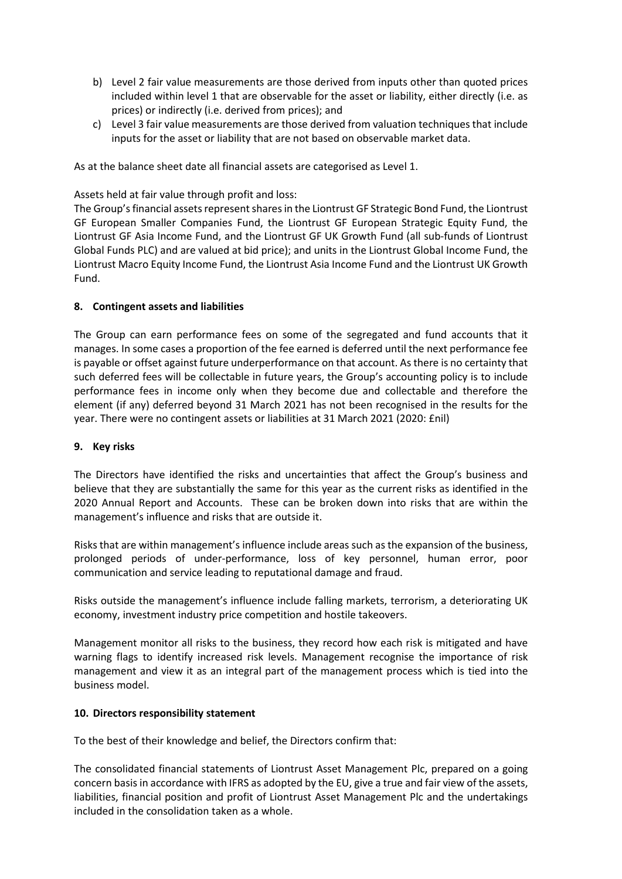- b) Level 2 fair value measurements are those derived from inputs other than quoted prices included within level 1 that are observable for the asset or liability, either directly (i.e. as prices) or indirectly (i.e. derived from prices); and
- c) Level 3 fair value measurements are those derived from valuation techniques that include inputs for the asset or liability that are not based on observable market data.

As at the balance sheet date all financial assets are categorised as Level 1.

Assets held at fair value through profit and loss:

The Group's financial assets represent shares in the Liontrust GF Strategic Bond Fund, the Liontrust GF European Smaller Companies Fund, the Liontrust GF European Strategic Equity Fund, the Liontrust GF Asia Income Fund, and the Liontrust GF UK Growth Fund (all sub-funds of Liontrust Global Funds PLC) and are valued at bid price); and units in the Liontrust Global Income Fund, the Liontrust Macro Equity Income Fund, the Liontrust Asia Income Fund and the Liontrust UK Growth Fund.

# **8. Contingent assets and liabilities**

The Group can earn performance fees on some of the segregated and fund accounts that it manages. In some cases a proportion of the fee earned is deferred until the next performance fee is payable or offset against future underperformance on that account. As there is no certainty that such deferred fees will be collectable in future years, the Group's accounting policy is to include performance fees in income only when they become due and collectable and therefore the element (if any) deferred beyond 31 March 2021 has not been recognised in the results for the year. There were no contingent assets or liabilities at 31 March 2021 (2020: £nil)

## **9. Key risks**

The Directors have identified the risks and uncertainties that affect the Group's business and believe that they are substantially the same for this year as the current risks as identified in the 2020 Annual Report and Accounts. These can be broken down into risks that are within the management's influence and risks that are outside it.

Risks that are within management's influence include areas such as the expansion of the business, prolonged periods of under-performance, loss of key personnel, human error, poor communication and service leading to reputational damage and fraud.

Risks outside the management's influence include falling markets, terrorism, a deteriorating UK economy, investment industry price competition and hostile takeovers.

Management monitor all risks to the business, they record how each risk is mitigated and have warning flags to identify increased risk levels. Management recognise the importance of risk management and view it as an integral part of the management process which is tied into the business model.

## **10. Directors responsibility statement**

To the best of their knowledge and belief, the Directors confirm that:

The consolidated financial statements of Liontrust Asset Management Plc, prepared on a going concern basis in accordance with IFRS as adopted by the EU, give a true and fair view of the assets, liabilities, financial position and profit of Liontrust Asset Management Plc and the undertakings included in the consolidation taken as a whole.